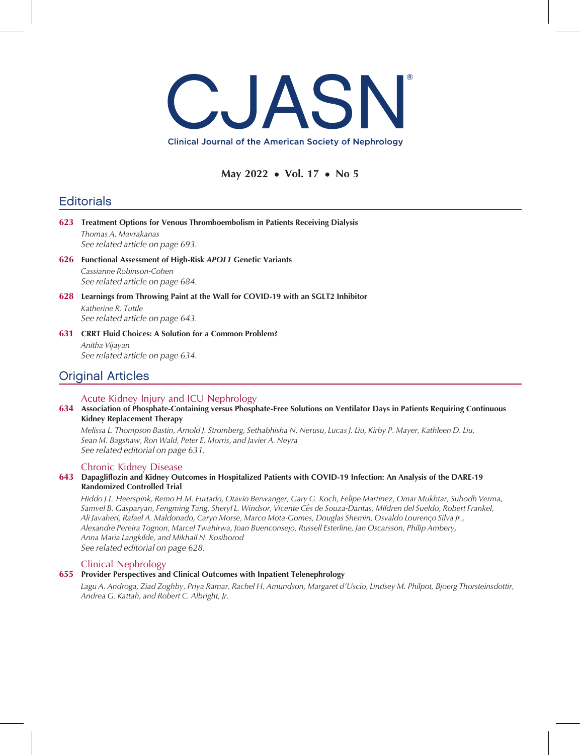

**Clinical Journal of the American Society of Nephrology** 

## May 2022 • Vol. 17 • No 5

# **Editorials**

- 623 Treatment Options for Venous Thromboembolism in Patients Receiving Dialysis Thomas A. Mavrakanas See related article on page 693.
- 626 Functional Assessment of High-Risk APOL1 Genetic Variants Cassianne Robinson-Cohen See related article on page 684.
- 628 Learnings from Throwing Paint at the Wall for COVID-19 with an SGLT2 Inhibitor

Katherine R. Tuttle See related article on page 643.

631 CRRT Fluid Choices: A Solution for a Common Problem? Anitha Vijayan See related article on page 634.

# Original Articles

## Acute Kidney Injury and ICU Nephrology

634 Association of Phosphate-Containing versus Phosphate-Free Solutions on Ventilator Days in Patients Requiring Continuous Kidney Replacement Therapy

Melissa L. Thompson Bastin, Arnold J. Stromberg, Sethabhisha N. Nerusu, Lucas J. Liu, Kirby P. Mayer, Kathleen D. Liu, Sean M. Bagshaw, Ron Wald, Peter E. Morris, and Javier A. Neyra See related editorial on page 631.

## Chronic Kidney Disease

### 643 Dapagliflozin and Kidney Outcomes in Hospitalized Patients with COVID-19 Infection: An Analysis of the DARE-19 Randomized Controlled Trial

Hiddo J.L. Heerspink, Remo H.M. Furtado, Otavio Berwanger, Gary G. Koch, Felipe Martinez, Omar Mukhtar, Subodh Verma, Samvel B. Gasparyan, Fengming Tang, Sheryl L. Windsor, Vicente Ces de Souza-Dantas, Mildren del Sueldo, Robert Frankel, Ali Javaheri, Rafael A. Maldonado, Caryn Morse, Marco Mota-Gomes, Douglas Shemin, Osvaldo Lourenço Silva Jr., Alexandre Pereira Tognon, Marcel Twahirwa, Joan Buenconsejo, Russell Esterline, Jan Oscarsson, Philip Ambery, Anna Maria Langkilde, and Mikhail N. Kosiborod See related editorial on page 628.

## Clinical Nephrology

### 655 Provider Perspectives and Clinical Outcomes with Inpatient Telenephrology

Lagu A. Androga, Ziad Zoghby, Priya Ramar, Rachel H. Amundson, Margaret d'Uscio, Lindsey M. Philpot, Bjoerg Thorsteinsdottir, Andrea G. Kattah, and Robert C. Albright, Jr.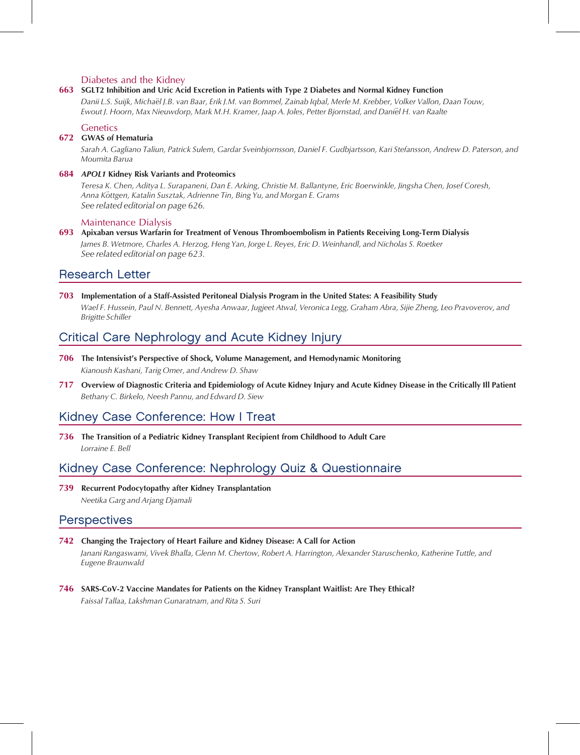### Diabetes and the Kidney

#### 663 SGLT2 Inhibition and Uric Acid Excretion in Patients with Type 2 Diabetes and Normal Kidney Function

Danii L.S. Suijk, Michaël J.B. van Baar, Erik J.M. van Bommel, Zainab Iqbal, Merle M. Krebber, Volker Vallon, Daan Touw, Ewout J. Hoorn, Max Nieuwdorp, Mark M.H. Kramer, Jaap A. Joles, Petter Bjornstad, and Daniël H. van Raalte

#### **Genetics**

#### 672 GWAS of Hematuria

Sarah A. Gagliano Taliun, Patrick Sulem, Gardar Sveinbjornsson, Daniel F. Gudbjartsson, Kari Stefansson, Andrew D. Paterson, and Moumita Barua

#### 684 APOL1 Kidney Risk Variants and Proteomics

Teresa K. Chen, Aditya L. Surapaneni, Dan E. Arking, Christie M. Ballantyne, Eric Boerwinkle, Jingsha Chen, Josef Coresh, Anna Köttgen, Katalin Susztak, Adrienne Tin, Bing Yu, and Morgan E. Grams See related editorial on page 626.

#### Maintenance Dialysis

#### 693 Apixaban versus Warfarin for Treatment of Venous Thromboembolism in Patients Receiving Long-Term Dialysis

James B. Wetmore, Charles A. Herzog, Heng Yan, Jorge L. Reyes, Eric D. Weinhandl, and Nicholas S. Roetker See related editorial on page 623.

## Research Letter

703 Implementation of a Staff-Assisted Peritoneal Dialysis Program in the United States: A Feasibility Study

Wael F. Hussein, Paul N. Bennett, Ayesha Anwaar, Jugjeet Atwal, Veronica Legg, Graham Abra, Sijie Zheng, Leo Pravoverov, and Brigitte Schiller

## Critical Care Nephrology and Acute Kidney Injury

- 706 The Intensivist's Perspective of Shock, Volume Management, and Hemodynamic Monitoring Kianoush Kashani, Tarig Omer, and Andrew D. Shaw
- 717 Overview of Diagnostic Criteria and Epidemiology of Acute Kidney Injury and Acute Kidney Disease in the Critically Ill Patient Bethany C. Birkelo, Neesh Pannu, and Edward D. Siew

## Kidney Case Conference: How I Treat

736 The Transition of a Pediatric Kidney Transplant Recipient from Childhood to Adult Care Lorraine E. Bell

# Kidney Case Conference: Nephrology Quiz & Questionnaire

739 Recurrent Podocytopathy after Kidney Transplantation Neetika Garg and Arjang Djamali

## **Perspectives**

- 742 Changing the Trajectory of Heart Failure and Kidney Disease: A Call for Action Janani Rangaswami, Vivek Bhalla, Glenn M. Chertow, Robert A. Harrington, Alexander Staruschenko, Katherine Tuttle, and Eugene Braunwald
- 746 SARS-CoV-2 Vaccine Mandates for Patients on the Kidney Transplant Waitlist: Are They Ethical? Faissal Tallaa, Lakshman Gunaratnam, and Rita S. Suri